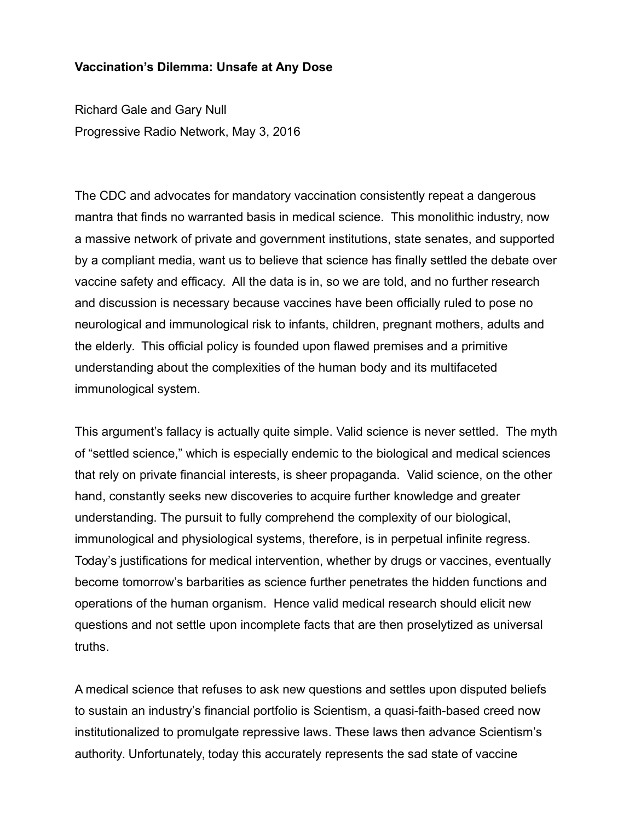## **Vaccination's Dilemma: Unsafe at Any Dose**

Richard Gale and Gary Null Progressive Radio Network, May 3, 2016

The CDC and advocates for mandatory vaccination consistently repeat a dangerous mantra that finds no warranted basis in medical science. This monolithic industry, now a massive network of private and government institutions, state senates, and supported by a compliant media, want us to believe that science has finally settled the debate over vaccine safety and efficacy. All the data is in, so we are told, and no further research and discussion is necessary because vaccines have been officially ruled to pose no neurological and immunological risk to infants, children, pregnant mothers, adults and the elderly. This official policy is founded upon flawed premises and a primitive understanding about the complexities of the human body and its multifaceted immunological system.

This argument's fallacy is actually quite simple. Valid science is never settled. The myth of "settled science," which is especially endemic to the biological and medical sciences that rely on private financial interests, is sheer propaganda. Valid science, on the other hand, constantly seeks new discoveries to acquire further knowledge and greater understanding. The pursuit to fully comprehend the complexity of our biological, immunological and physiological systems, therefore, is in perpetual infinite regress. Today's justifications for medical intervention, whether by drugs or vaccines, eventually become tomorrow's barbarities as science further penetrates the hidden functions and operations of the human organism. Hence valid medical research should elicit new questions and not settle upon incomplete facts that are then proselytized as universal truths.

A medical science that refuses to ask new questions and settles upon disputed beliefs to sustain an industry's financial portfolio is Scientism, a quasi-faith-based creed now institutionalized to promulgate repressive laws. These laws then advance Scientism's authority. Unfortunately, today this accurately represents the sad state of vaccine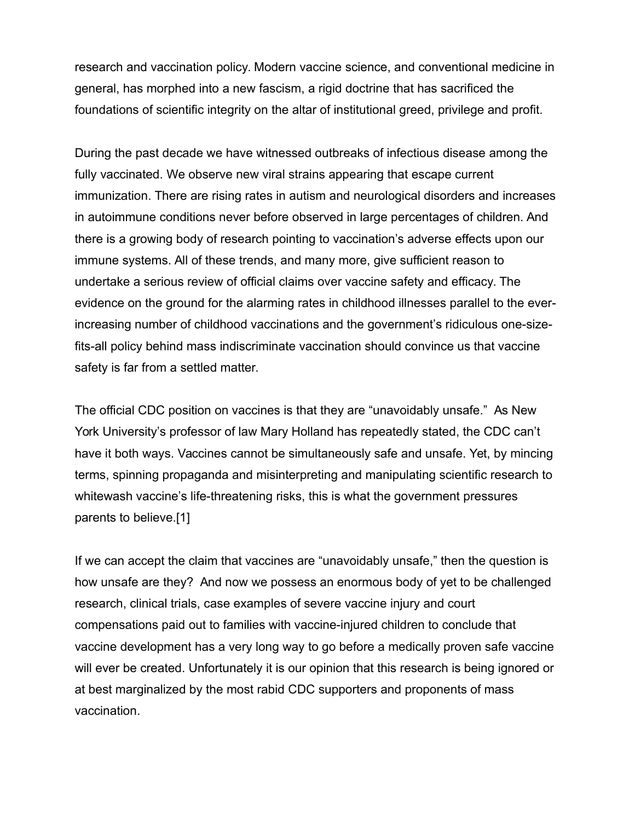research and vaccination policy. Modern vaccine science, and conventional medicine in general, has morphed into a new fascism, a rigid doctrine that has sacrificed the foundations of scientific integrity on the altar of institutional greed, privilege and profit.

During the past decade we have witnessed outbreaks of infectious disease among the fully vaccinated. We observe new viral strains appearing that escape current immunization. There are rising rates in autism and neurological disorders and increases in autoimmune conditions never before observed in large percentages of children. And there is a growing body of research pointing to vaccination's adverse effects upon our immune systems. All of these trends, and many more, give sufficient reason to undertake a serious review of official claims over vaccine safety and efficacy. The evidence on the ground for the alarming rates in childhood illnesses parallel to the everincreasing number of childhood vaccinations and the government's ridiculous one-sizefits-all policy behind mass indiscriminate vaccination should convince us that vaccine safety is far from a settled matter.

The official CDC position on vaccines is that they are "unavoidably unsafe." As New York University's professor of law Mary Holland has repeatedly stated, the CDC can't have it both ways. Vaccines cannot be simultaneously safe and unsafe. Yet, by mincing terms, spinning propaganda and misinterpreting and manipulating scientific research to whitewash vaccine's life-threatening risks, this is what the government pressures parents to believe.[1]

If we can accept the claim that vaccines are "unavoidably unsafe," then the question is how unsafe are they? And now we possess an enormous body of yet to be challenged research, clinical trials, case examples of severe vaccine injury and court compensations paid out to families with vaccine-injured children to conclude that vaccine development has a very long way to go before a medically proven safe vaccine will ever be created. Unfortunately it is our opinion that this research is being ignored or at best marginalized by the most rabid CDC supporters and proponents of mass vaccination.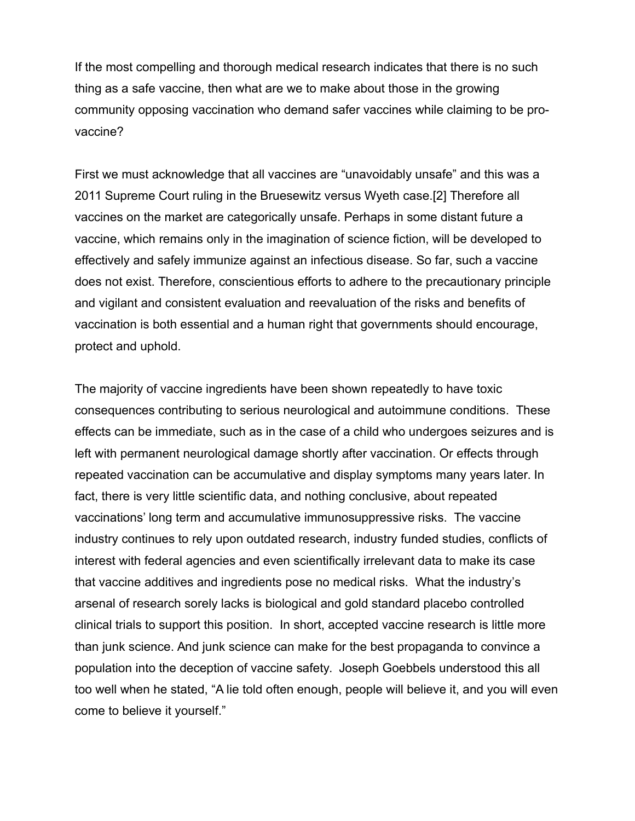If the most compelling and thorough medical research indicates that there is no such thing as a safe vaccine, then what are we to make about those in the growing community opposing vaccination who demand safer vaccines while claiming to be provaccine?

First we must acknowledge that all vaccines are "unavoidably unsafe" and this was a 2011 Supreme Court ruling in the Bruesewitz versus Wyeth case.[2] Therefore all vaccines on the market are categorically unsafe. Perhaps in some distant future a vaccine, which remains only in the imagination of science fiction, will be developed to effectively and safely immunize against an infectious disease. So far, such a vaccine does not exist. Therefore, conscientious efforts to adhere to the precautionary principle and vigilant and consistent evaluation and reevaluation of the risks and benefits of vaccination is both essential and a human right that governments should encourage, protect and uphold.

The majority of vaccine ingredients have been shown repeatedly to have toxic consequences contributing to serious neurological and autoimmune conditions. These effects can be immediate, such as in the case of a child who undergoes seizures and is left with permanent neurological damage shortly after vaccination. Or effects through repeated vaccination can be accumulative and display symptoms many years later. In fact, there is very little scientific data, and nothing conclusive, about repeated vaccinations' long term and accumulative immunosuppressive risks. The vaccine industry continues to rely upon outdated research, industry funded studies, conflicts of interest with federal agencies and even scientifically irrelevant data to make its case that vaccine additives and ingredients pose no medical risks. What the industry's arsenal of research sorely lacks is biological and gold standard placebo controlled clinical trials to support this position. In short, accepted vaccine research is little more than junk science. And junk science can make for the best propaganda to convince a population into the deception of vaccine safety. Joseph Goebbels understood this all too well when he stated, "A lie told often enough, people will believe it, and you will even come to believe it yourself."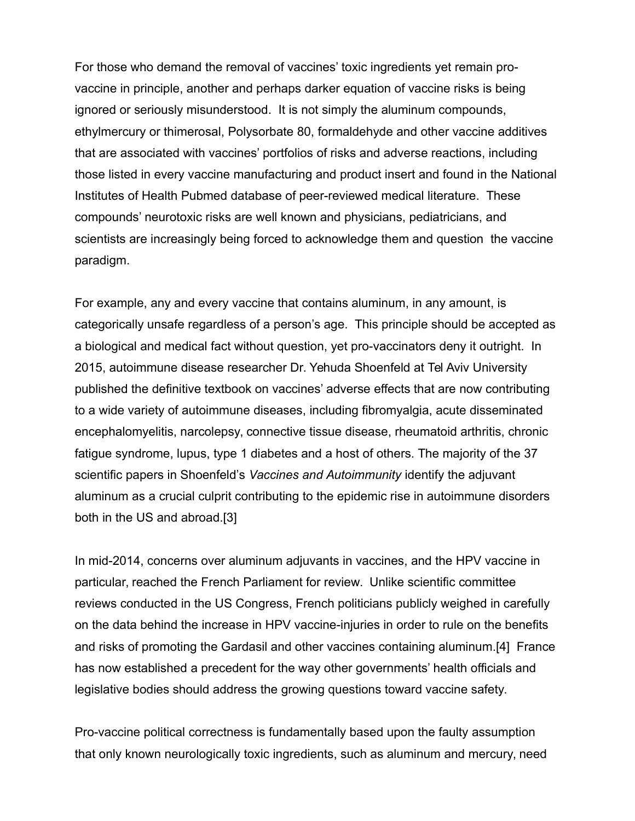For those who demand the removal of vaccines' toxic ingredients yet remain provaccine in principle, another and perhaps darker equation of vaccine risks is being ignored or seriously misunderstood. It is not simply the aluminum compounds, ethylmercury or thimerosal, Polysorbate 80, formaldehyde and other vaccine additives that are associated with vaccines' portfolios of risks and adverse reactions, including those listed in every vaccine manufacturing and product insert and found in the National Institutes of Health Pubmed database of peer-reviewed medical literature. These compounds' neurotoxic risks are well known and physicians, pediatricians, and scientists are increasingly being forced to acknowledge them and question the vaccine paradigm.

For example, any and every vaccine that contains aluminum, in any amount, is categorically unsafe regardless of a person's age. This principle should be accepted as a biological and medical fact without question, yet pro-vaccinators deny it outright. In 2015, autoimmune disease researcher Dr. Yehuda Shoenfeld at Tel Aviv University published the definitive textbook on vaccines' adverse effects that are now contributing to a wide variety of autoimmune diseases, including fibromyalgia, acute disseminated encephalomyelitis, narcolepsy, connective tissue disease, rheumatoid arthritis, chronic fatigue syndrome, lupus, type 1 diabetes and a host of others. The majority of the 37 scientific papers in Shoenfeld's *Vaccines and Autoimmunity* identify the adjuvant aluminum as a crucial culprit contributing to the epidemic rise in autoimmune disorders both in the US and abroad.[3]

In mid-2014, concerns over aluminum adjuvants in vaccines, and the HPV vaccine in particular, reached the French Parliament for review. Unlike scientific committee reviews conducted in the US Congress, French politicians publicly weighed in carefully on the data behind the increase in HPV vaccine-injuries in order to rule on the benefits and risks of promoting the Gardasil and other vaccines containing aluminum.[4] France has now established a precedent for the way other governments' health officials and legislative bodies should address the growing questions toward vaccine safety.

Pro-vaccine political correctness is fundamentally based upon the faulty assumption that only known neurologically toxic ingredients, such as aluminum and mercury, need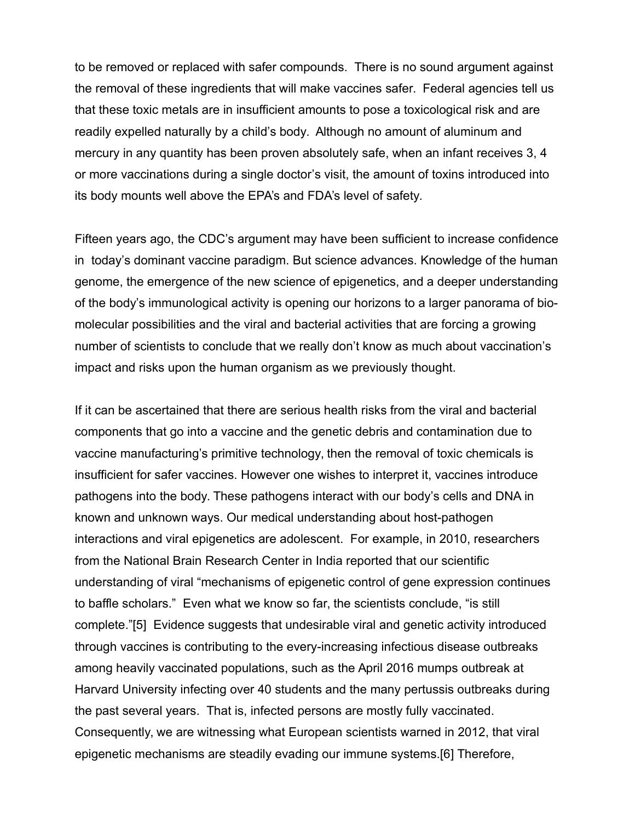to be removed or replaced with safer compounds. There is no sound argument against the removal of these ingredients that will make vaccines safer. Federal agencies tell us that these toxic metals are in insufficient amounts to pose a toxicological risk and are readily expelled naturally by a child's body. Although no amount of aluminum and mercury in any quantity has been proven absolutely safe, when an infant receives 3, 4 or more vaccinations during a single doctor's visit, the amount of toxins introduced into its body mounts well above the EPA's and FDA's level of safety.

Fifteen years ago, the CDC's argument may have been sufficient to increase confidence in today's dominant vaccine paradigm. But science advances. Knowledge of the human genome, the emergence of the new science of epigenetics, and a deeper understanding of the body's immunological activity is opening our horizons to a larger panorama of biomolecular possibilities and the viral and bacterial activities that are forcing a growing number of scientists to conclude that we really don't know as much about vaccination's impact and risks upon the human organism as we previously thought.

If it can be ascertained that there are serious health risks from the viral and bacterial components that go into a vaccine and the genetic debris and contamination due to vaccine manufacturing's primitive technology, then the removal of toxic chemicals is insufficient for safer vaccines. However one wishes to interpret it, vaccines introduce pathogens into the body. These pathogens interact with our body's cells and DNA in known and unknown ways. Our medical understanding about host-pathogen interactions and viral epigenetics are adolescent. For example, in 2010, researchers from the National Brain Research Center in India reported that our scientific understanding of viral "mechanisms of epigenetic control of gene expression continues to baffle scholars." Even what we know so far, the scientists conclude, "is still complete."[5] Evidence suggests that undesirable viral and genetic activity introduced through vaccines is contributing to the every-increasing infectious disease outbreaks among heavily vaccinated populations, such as the April 2016 mumps outbreak at Harvard University infecting over 40 students and the many pertussis outbreaks during the past several years. That is, infected persons are mostly fully vaccinated. Consequently, we are witnessing what European scientists warned in 2012, that viral epigenetic mechanisms are steadily evading our immune systems.[6] Therefore,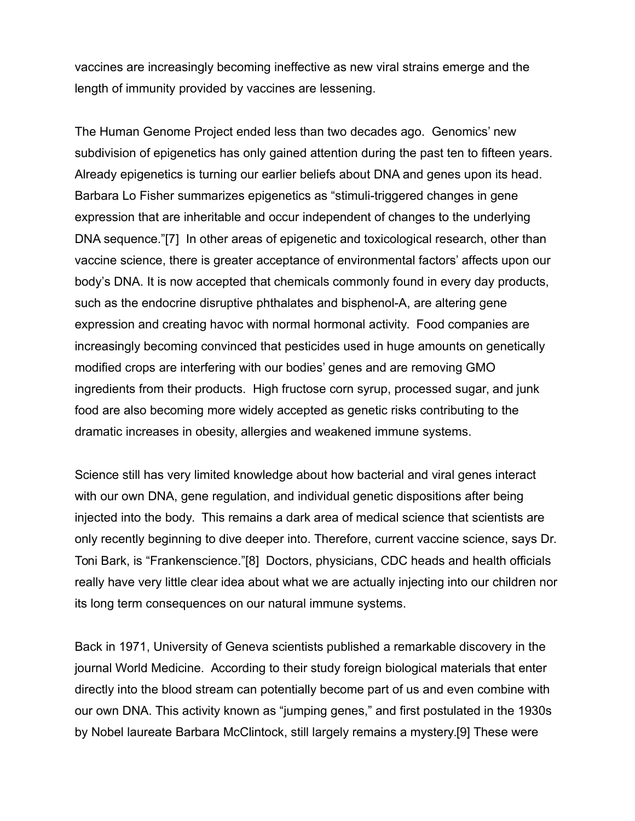vaccines are increasingly becoming ineffective as new viral strains emerge and the length of immunity provided by vaccines are lessening.

The Human Genome Project ended less than two decades ago. Genomics' new subdivision of epigenetics has only gained attention during the past ten to fifteen years. Already epigenetics is turning our earlier beliefs about DNA and genes upon its head. Barbara Lo Fisher summarizes epigenetics as "stimuli-triggered changes in gene expression that are inheritable and occur independent of changes to the underlying DNA sequence."[7] In other areas of epigenetic and toxicological research, other than vaccine science, there is greater acceptance of environmental factors' affects upon our body's DNA. It is now accepted that chemicals commonly found in every day products, such as the endocrine disruptive phthalates and bisphenol-A, are altering gene expression and creating havoc with normal hormonal activity. Food companies are increasingly becoming convinced that pesticides used in huge amounts on genetically modified crops are interfering with our bodies' genes and are removing GMO ingredients from their products. High fructose corn syrup, processed sugar, and junk food are also becoming more widely accepted as genetic risks contributing to the dramatic increases in obesity, allergies and weakened immune systems.

Science still has very limited knowledge about how bacterial and viral genes interact with our own DNA, gene regulation, and individual genetic dispositions after being injected into the body. This remains a dark area of medical science that scientists are only recently beginning to dive deeper into. Therefore, current vaccine science, says Dr. Toni Bark, is "Frankenscience."[8] Doctors, physicians, CDC heads and health officials really have very little clear idea about what we are actually injecting into our children nor its long term consequences on our natural immune systems.

Back in 1971, University of Geneva scientists published a remarkable discovery in the journal World Medicine. According to their study foreign biological materials that enter directly into the blood stream can potentially become part of us and even combine with our own DNA. This activity known as "jumping genes," and first postulated in the 1930s by Nobel laureate Barbara McClintock, still largely remains a mystery.[9] These were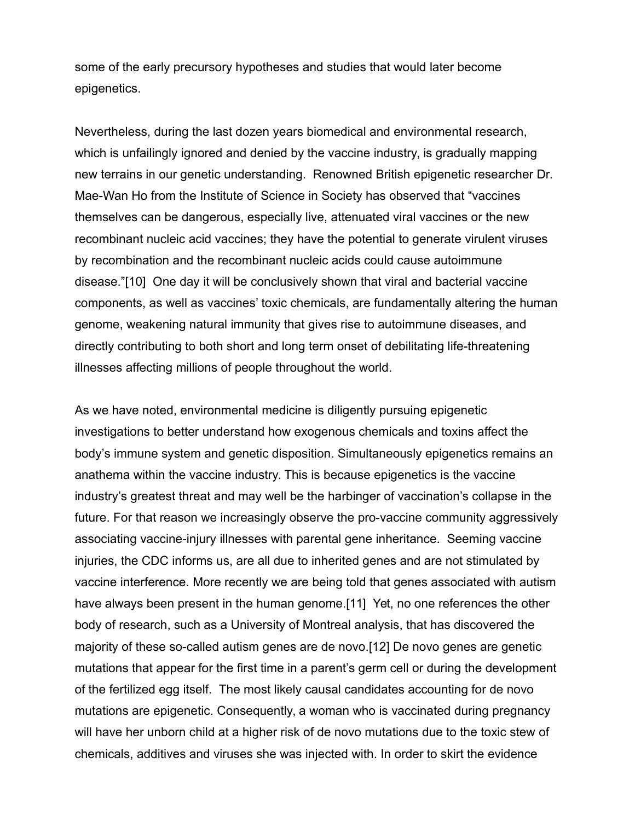some of the early precursory hypotheses and studies that would later become epigenetics.

Nevertheless, during the last dozen years biomedical and environmental research, which is unfailingly ignored and denied by the vaccine industry, is gradually mapping new terrains in our genetic understanding. Renowned British epigenetic researcher Dr. Mae-Wan Ho from the Institute of Science in Society has observed that "vaccines themselves can be dangerous, especially live, attenuated viral vaccines or the new recombinant nucleic acid vaccines; they have the potential to generate virulent viruses by recombination and the recombinant nucleic acids could cause autoimmune disease."[10] One day it will be conclusively shown that viral and bacterial vaccine components, as well as vaccines' toxic chemicals, are fundamentally altering the human genome, weakening natural immunity that gives rise to autoimmune diseases, and directly contributing to both short and long term onset of debilitating life-threatening illnesses affecting millions of people throughout the world.

As we have noted, environmental medicine is diligently pursuing epigenetic investigations to better understand how exogenous chemicals and toxins affect the body's immune system and genetic disposition. Simultaneously epigenetics remains an anathema within the vaccine industry. This is because epigenetics is the vaccine industry's greatest threat and may well be the harbinger of vaccination's collapse in the future. For that reason we increasingly observe the pro-vaccine community aggressively associating vaccine-injury illnesses with parental gene inheritance. Seeming vaccine injuries, the CDC informs us, are all due to inherited genes and are not stimulated by vaccine interference. More recently we are being told that genes associated with autism have always been present in the human genome.[11] Yet, no one references the other body of research, such as a University of Montreal analysis, that has discovered the majority of these so-called autism genes are de novo.[12] De novo genes are genetic mutations that appear for the first time in a parent's germ cell or during the development of the fertilized egg itself. The most likely causal candidates accounting for de novo mutations are epigenetic. Consequently, a woman who is vaccinated during pregnancy will have her unborn child at a higher risk of de novo mutations due to the toxic stew of chemicals, additives and viruses she was injected with. In order to skirt the evidence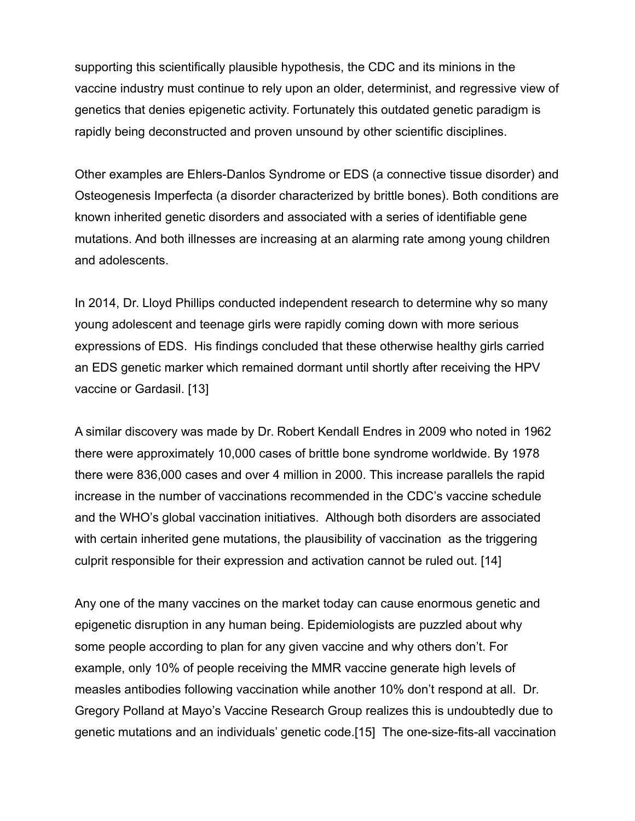supporting this scientifically plausible hypothesis, the CDC and its minions in the vaccine industry must continue to rely upon an older, determinist, and regressive view of genetics that denies epigenetic activity. Fortunately this outdated genetic paradigm is rapidly being deconstructed and proven unsound by other scientific disciplines.

Other examples are Ehlers-Danlos Syndrome or EDS (a connective tissue disorder) and Osteogenesis Imperfecta (a disorder characterized by brittle bones). Both conditions are known inherited genetic disorders and associated with a series of identifiable gene mutations. And both illnesses are increasing at an alarming rate among young children and adolescents.

In 2014, Dr. Lloyd Phillips conducted independent research to determine why so many young adolescent and teenage girls were rapidly coming down with more serious expressions of EDS. His findings concluded that these otherwise healthy girls carried an EDS genetic marker which remained dormant until shortly after receiving the HPV vaccine or Gardasil. [13]

A similar discovery was made by Dr. Robert Kendall Endres in 2009 who noted in 1962 there were approximately 10,000 cases of brittle bone syndrome worldwide. By 1978 there were 836,000 cases and over 4 million in 2000. This increase parallels the rapid increase in the number of vaccinations recommended in the CDC's vaccine schedule and the WHO's global vaccination initiatives. Although both disorders are associated with certain inherited gene mutations, the plausibility of vaccination as the triggering culprit responsible for their expression and activation cannot be ruled out. [14]

Any one of the many vaccines on the market today can cause enormous genetic and epigenetic disruption in any human being. Epidemiologists are puzzled about why some people according to plan for any given vaccine and why others don't. For example, only 10% of people receiving the MMR vaccine generate high levels of measles antibodies following vaccination while another 10% don't respond at all. Dr. Gregory Polland at Mayo's Vaccine Research Group realizes this is undoubtedly due to genetic mutations and an individuals' genetic code.[15] The one-size-fits-all vaccination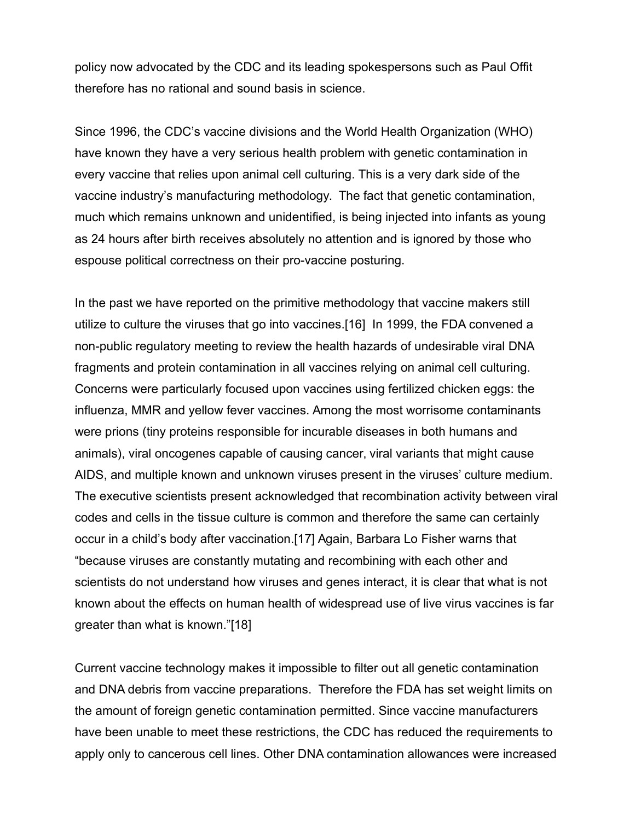policy now advocated by the CDC and its leading spokespersons such as Paul Offit therefore has no rational and sound basis in science.

Since 1996, the CDC's vaccine divisions and the World Health Organization (WHO) have known they have a very serious health problem with genetic contamination in every vaccine that relies upon animal cell culturing. This is a very dark side of the vaccine industry's manufacturing methodology. The fact that genetic contamination, much which remains unknown and unidentified, is being injected into infants as young as 24 hours after birth receives absolutely no attention and is ignored by those who espouse political correctness on their pro-vaccine posturing.

In the past we have reported on the primitive methodology that vaccine makers still utilize to culture the viruses that go into vaccines.[16] In 1999, the FDA convened a non-public regulatory meeting to review the health hazards of undesirable viral DNA fragments and protein contamination in all vaccines relying on animal cell culturing. Concerns were particularly focused upon vaccines using fertilized chicken eggs: the influenza, MMR and yellow fever vaccines. Among the most worrisome contaminants were prions (tiny proteins responsible for incurable diseases in both humans and animals), viral oncogenes capable of causing cancer, viral variants that might cause AIDS, and multiple known and unknown viruses present in the viruses' culture medium. The executive scientists present acknowledged that recombination activity between viral codes and cells in the tissue culture is common and therefore the same can certainly occur in a child's body after vaccination.[17] Again, Barbara Lo Fisher warns that "because viruses are constantly mutating and recombining with each other and scientists do not understand how viruses and genes interact, it is clear that what is not known about the effects on human health of widespread use of live virus vaccines is far greater than what is known."[18]

Current vaccine technology makes it impossible to filter out all genetic contamination and DNA debris from vaccine preparations. Therefore the FDA has set weight limits on the amount of foreign genetic contamination permitted. Since vaccine manufacturers have been unable to meet these restrictions, the CDC has reduced the requirements to apply only to cancerous cell lines. Other DNA contamination allowances were increased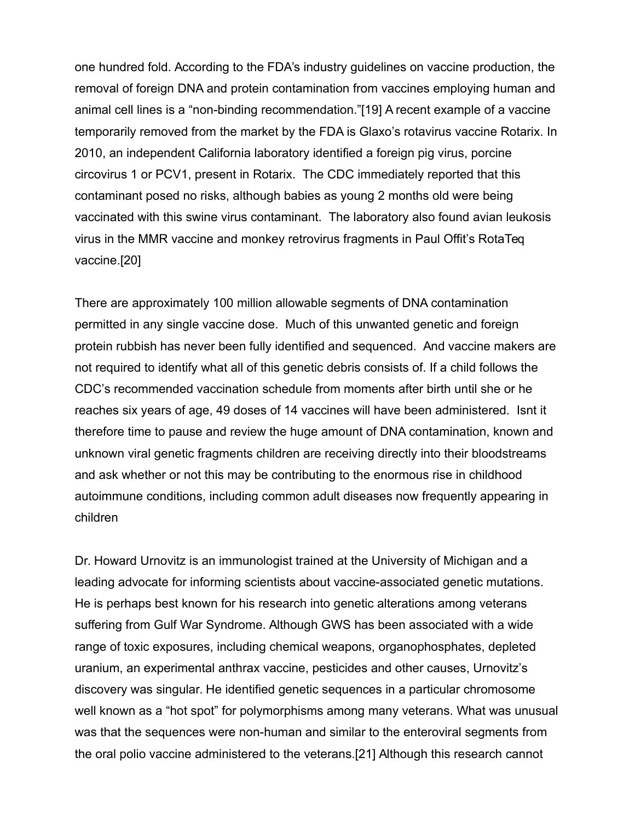one hundred fold. According to the FDA's industry guidelines on vaccine production, the removal of foreign DNA and protein contamination from vaccines employing human and animal cell lines is a "non-binding recommendation."[19] A recent example of a vaccine temporarily removed from the market by the FDA is Glaxo's rotavirus vaccine Rotarix. In 2010, an independent California laboratory identified a foreign pig virus, porcine circovirus 1 or PCV1, present in Rotarix. The CDC immediately reported that this contaminant posed no risks, although babies as young 2 months old were being vaccinated with this swine virus contaminant. The laboratory also found avian leukosis virus in the MMR vaccine and monkey retrovirus fragments in Paul Offit's RotaTeq vaccine.[20]

There are approximately 100 million allowable segments of DNA contamination permitted in any single vaccine dose. Much of this unwanted genetic and foreign protein rubbish has never been fully identified and sequenced. And vaccine makers are not required to identify what all of this genetic debris consists of. If a child follows the CDC's recommended vaccination schedule from moments after birth until she or he reaches six years of age, 49 doses of 14 vaccines will have been administered. Isnt it therefore time to pause and review the huge amount of DNA contamination, known and unknown viral genetic fragments children are receiving directly into their bloodstreams and ask whether or not this may be contributing to the enormous rise in childhood autoimmune conditions, including common adult diseases now frequently appearing in children

Dr. Howard Urnovitz is an immunologist trained at the University of Michigan and a leading advocate for informing scientists about vaccine-associated genetic mutations. He is perhaps best known for his research into genetic alterations among veterans suffering from Gulf War Syndrome. Although GWS has been associated with a wide range of toxic exposures, including chemical weapons, organophosphates, depleted uranium, an experimental anthrax vaccine, pesticides and other causes, Urnovitz's discovery was singular. He identified genetic sequences in a particular chromosome well known as a "hot spot" for polymorphisms among many veterans. What was unusual was that the sequences were non-human and similar to the enteroviral segments from the oral polio vaccine administered to the veterans.[21] Although this research cannot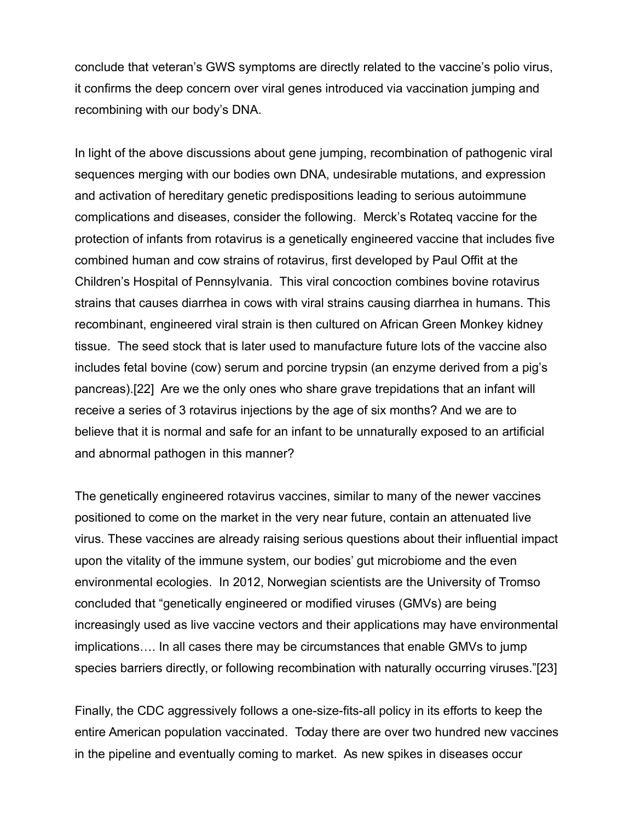conclude that veteran's GWS symptoms are directly related to the vaccine's polio virus, it confirms the deep concern over viral genes introduced via vaccination jumping and recombining with our body's DNA.

In light of the above discussions about gene jumping, recombination of pathogenic viral sequences merging with our bodies own DNA, undesirable mutations, and expression and activation of hereditary genetic predispositions leading to serious autoimmune complications and diseases, consider the following. Merck's Rotateq vaccine for the protection of infants from rotavirus is a genetically engineered vaccine that includes five combined human and cow strains of rotavirus, first developed by Paul Offit at the Children's Hospital of Pennsylvania. This viral concoction combines bovine rotavirus strains that causes diarrhea in cows with viral strains causing diarrhea in humans. This recombinant, engineered viral strain is then cultured on African Green Monkey kidney tissue. The seed stock that is later used to manufacture future lots of the vaccine also includes fetal bovine (cow) serum and porcine trypsin (an enzyme derived from a pig's pancreas).[22] Are we the only ones who share grave trepidations that an infant will receive a series of 3 rotavirus injections by the age of six months? And we are to believe that it is normal and safe for an infant to be unnaturally exposed to an artificial and abnormal pathogen in this manner?

The genetically engineered rotavirus vaccines, similar to many of the newer vaccines positioned to come on the market in the very near future, contain an attenuated live virus. These vaccines are already raising serious questions about their influential impact upon the vitality of the immune system, our bodies' gut microbiome and the even environmental ecologies. In 2012, Norwegian scientists are the University of Tromso concluded that "genetically engineered or modified viruses (GMVs) are being increasingly used as live vaccine vectors and their applications may have environmental implications…. In all cases there may be circumstances that enable GMVs to jump species barriers directly, or following recombination with naturally occurring viruses."[23]

Finally, the CDC aggressively follows a one-size-fits-all policy in its efforts to keep the entire American population vaccinated. Today there are over two hundred new vaccines in the pipeline and eventually coming to market. As new spikes in diseases occur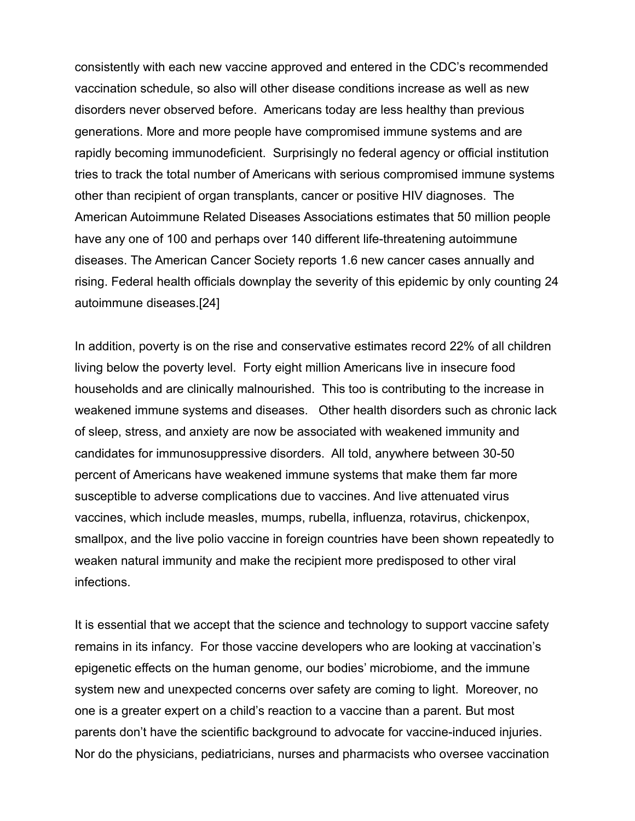consistently with each new vaccine approved and entered in the CDC's recommended vaccination schedule, so also will other disease conditions increase as well as new disorders never observed before. Americans today are less healthy than previous generations. More and more people have compromised immune systems and are rapidly becoming immunodeficient. Surprisingly no federal agency or official institution tries to track the total number of Americans with serious compromised immune systems other than recipient of organ transplants, cancer or positive HIV diagnoses. The American Autoimmune Related Diseases Associations estimates that 50 million people have any one of 100 and perhaps over 140 different life-threatening autoimmune diseases. The American Cancer Society reports 1.6 new cancer cases annually and rising. Federal health officials downplay the severity of this epidemic by only counting 24 autoimmune diseases.[24]

In addition, poverty is on the rise and conservative estimates record 22% of all children living below the poverty level. Forty eight million Americans live in insecure food households and are clinically malnourished. This too is contributing to the increase in weakened immune systems and diseases. Other health disorders such as chronic lack of sleep, stress, and anxiety are now be associated with weakened immunity and candidates for immunosuppressive disorders. All told, anywhere between 30-50 percent of Americans have weakened immune systems that make them far more susceptible to adverse complications due to vaccines. And live attenuated virus vaccines, which include measles, mumps, rubella, influenza, rotavirus, chickenpox, smallpox, and the live polio vaccine in foreign countries have been shown repeatedly to weaken natural immunity and make the recipient more predisposed to other viral infections.

It is essential that we accept that the science and technology to support vaccine safety remains in its infancy. For those vaccine developers who are looking at vaccination's epigenetic effects on the human genome, our bodies' microbiome, and the immune system new and unexpected concerns over safety are coming to light. Moreover, no one is a greater expert on a child's reaction to a vaccine than a parent. But most parents don't have the scientific background to advocate for vaccine-induced injuries. Nor do the physicians, pediatricians, nurses and pharmacists who oversee vaccination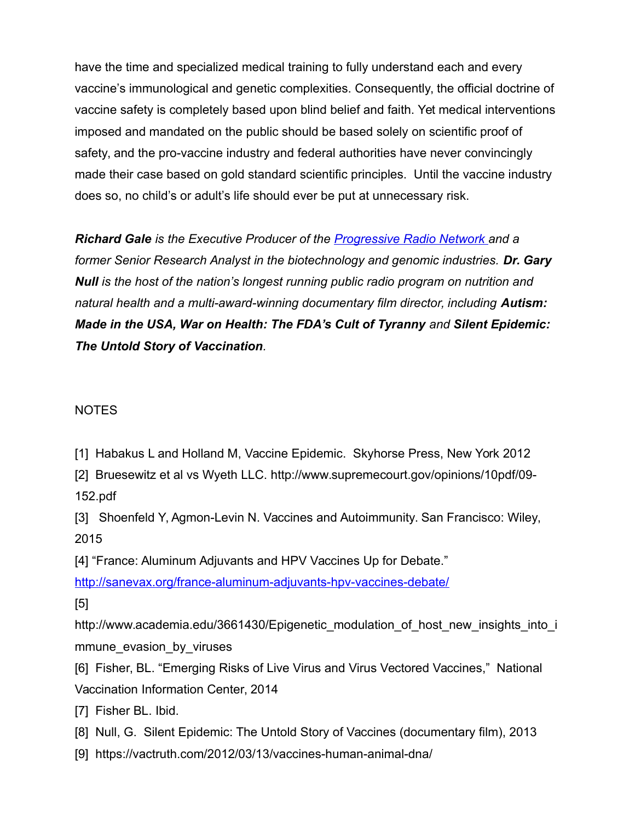have the time and specialized medical training to fully understand each and every vaccine's immunological and genetic complexities. Consequently, the official doctrine of vaccine safety is completely based upon blind belief and faith. Yet medical interventions imposed and mandated on the public should be based solely on scientific proof of safety, and the pro-vaccine industry and federal authorities have never convincingly made their case based on gold standard scientific principles. Until the vaccine industry does so, no child's or adult's life should ever be put at unnecessary risk.

*Richard Gale is the Executive Producer of the [Progressive Radio Network a](http://www.progressiveradionetwork.com/)nd a former Senior Research Analyst in the biotechnology and genomic industries. Dr. Gary Null is the host of the nation's longest running public radio program on nutrition and natural health and a multi-award-winning documentary film director, including Autism: Made in the USA, War on Health: The FDA's Cult of Tyranny and Silent Epidemic: The Untold Story of Vaccination.* 

## **NOTES**

[1] Habakus L and Holland M, Vaccine Epidemic. Skyhorse Press, New York 2012

[2] Bruesewitz et al vs Wyeth LLC. http://www.supremecourt.gov/opinions/10pdf/09- 152.pdf

[3] Shoenfeld Y, Agmon-Levin N. Vaccines and Autoimmunity. San Francisco: Wiley, 2015

[4] "France: Aluminum Adjuvants and HPV Vaccines Up for Debate."

<http://sanevax.org/france-aluminum-adjuvants-hpv-vaccines-debate/>

[5]

http://www.academia.edu/3661430/Epigenetic\_modulation\_of\_host\_new\_insights\_into\_i mmune evasion by viruses

[6] Fisher, BL. "Emerging Risks of Live Virus and Virus Vectored Vaccines," National Vaccination Information Center, 2014

[7] Fisher BL. Ibid.

- [8] Null, G. Silent Epidemic: The Untold Story of Vaccines (documentary film), 2013
- [9] https://vactruth.com/2012/03/13/vaccines-human-animal-dna/